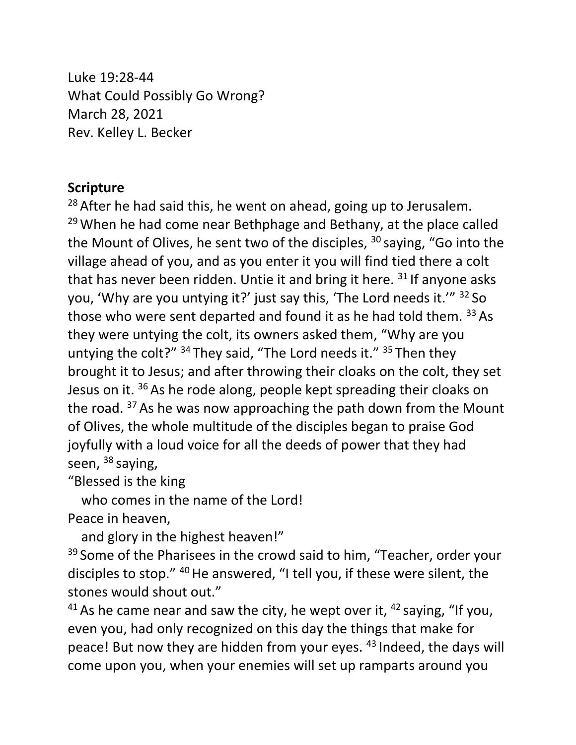Luke 19:28-44 What Could Possibly Go Wrong? March 28, 2021 Rev. Kelley L. Becker

## **Scripture**

<sup>28</sup> After he had said this, he went on ahead, going up to Jerusalem.  $29$  When he had come near Bethphage and Bethany, at the place called the Mount of Olives, he sent two of the disciples,  $30$  saying, "Go into the village ahead of you, and as you enter it you will find tied there a colt that has never been ridden. Untie it and bring it here.  $31$  If anyone asks you, 'Why are you untying it?' just say this, 'The Lord needs it.'" <sup>32</sup> So those who were sent departed and found it as he had told them. 33 As they were untying the colt, its owners asked them, "Why are you untying the colt?"  $34$  They said, "The Lord needs it."  $35$  Then they brought it to Jesus; and after throwing their cloaks on the colt, they set Jesus on it. <sup>36</sup> As he rode along, people kept spreading their cloaks on the road. <sup>37</sup> As he was now approaching the path down from the Mount of Olives, the whole multitude of the disciples began to praise God joyfully with a loud voice for all the deeds of power that they had seen, <sup>38</sup> saying,

"Blessed is the king

 who comes in the name of the Lord! Peace in heaven,

and glory in the highest heaven!"

<sup>39</sup> Some of the Pharisees in the crowd said to him, "Teacher, order your disciples to stop." <sup>40</sup> He answered, "I tell you, if these were silent, the stones would shout out."

<sup>41</sup> As he came near and saw the city, he wept over it,  $42$  saying, "If you, even you, had only recognized on this day the things that make for peace! But now they are hidden from your eyes. <sup>43</sup> Indeed, the days will come upon you, when your enemies will set up ramparts around you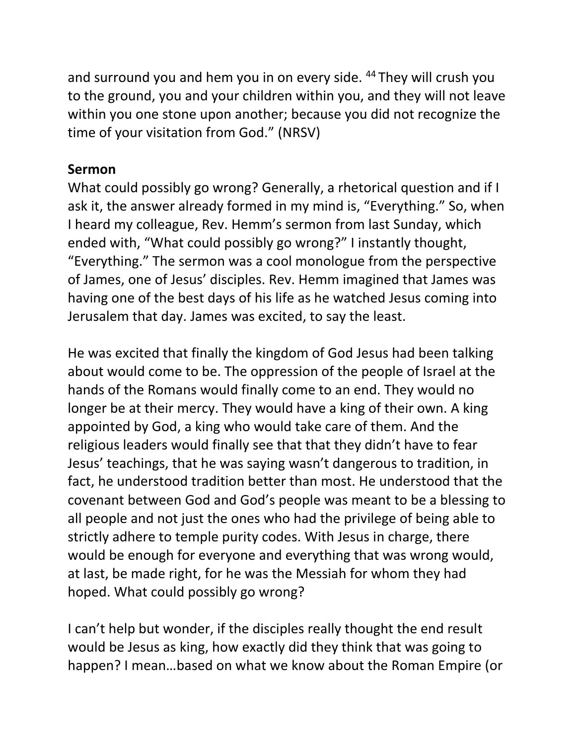and surround you and hem you in on every side. <sup>44</sup> They will crush you to the ground, you and your children within you, and they will not leave within you one stone upon another; because you did not recognize the time of your visitation from God." (NRSV)

## **Sermon**

What could possibly go wrong? Generally, a rhetorical question and if I ask it, the answer already formed in my mind is, "Everything." So, when I heard my colleague, Rev. Hemm's sermon from last Sunday, which ended with, "What could possibly go wrong?" I instantly thought, "Everything." The sermon was a cool monologue from the perspective of James, one of Jesus' disciples. Rev. Hemm imagined that James was having one of the best days of his life as he watched Jesus coming into Jerusalem that day. James was excited, to say the least.

He was excited that finally the kingdom of God Jesus had been talking about would come to be. The oppression of the people of Israel at the hands of the Romans would finally come to an end. They would no longer be at their mercy. They would have a king of their own. A king appointed by God, a king who would take care of them. And the religious leaders would finally see that that they didn't have to fear Jesus' teachings, that he was saying wasn't dangerous to tradition, in fact, he understood tradition better than most. He understood that the covenant between God and God's people was meant to be a blessing to all people and not just the ones who had the privilege of being able to strictly adhere to temple purity codes. With Jesus in charge, there would be enough for everyone and everything that was wrong would, at last, be made right, for he was the Messiah for whom they had hoped. What could possibly go wrong?

I can't help but wonder, if the disciples really thought the end result would be Jesus as king, how exactly did they think that was going to happen? I mean…based on what we know about the Roman Empire (or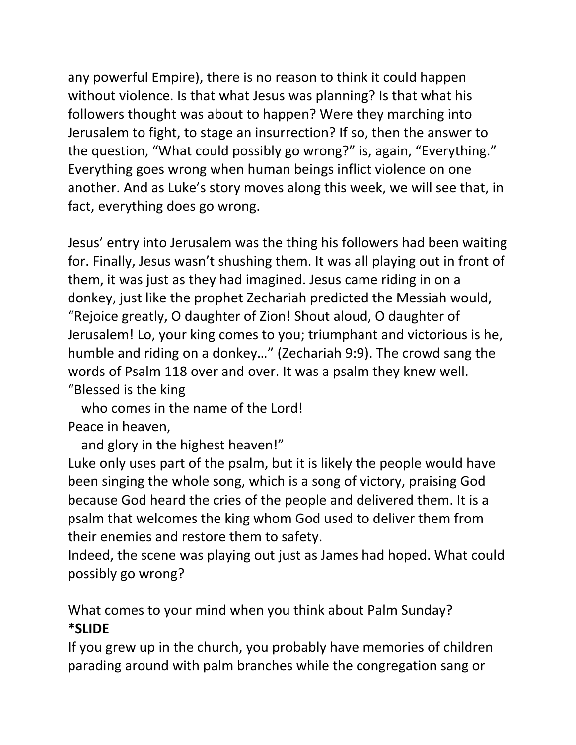any powerful Empire), there is no reason to think it could happen without violence. Is that what Jesus was planning? Is that what his followers thought was about to happen? Were they marching into Jerusalem to fight, to stage an insurrection? If so, then the answer to the question, "What could possibly go wrong?" is, again, "Everything." Everything goes wrong when human beings inflict violence on one another. And as Luke's story moves along this week, we will see that, in fact, everything does go wrong.

Jesus' entry into Jerusalem was the thing his followers had been waiting for. Finally, Jesus wasn't shushing them. It was all playing out in front of them, it was just as they had imagined. Jesus came riding in on a donkey, just like the prophet Zechariah predicted the Messiah would, "Rejoice greatly, O daughter of Zion! Shout aloud, O daughter of Jerusalem! Lo, your king comes to you; triumphant and victorious is he, humble and riding on a donkey…" (Zechariah 9:9). The crowd sang the words of Psalm 118 over and over. It was a psalm they knew well. "Blessed is the king

 who comes in the name of the Lord! Peace in heaven,

and glory in the highest heaven!"

Luke only uses part of the psalm, but it is likely the people would have been singing the whole song, which is a song of victory, praising God because God heard the cries of the people and delivered them. It is a psalm that welcomes the king whom God used to deliver them from their enemies and restore them to safety.

Indeed, the scene was playing out just as James had hoped. What could possibly go wrong?

What comes to your mind when you think about Palm Sunday? **\*SLIDE**

If you grew up in the church, you probably have memories of children parading around with palm branches while the congregation sang or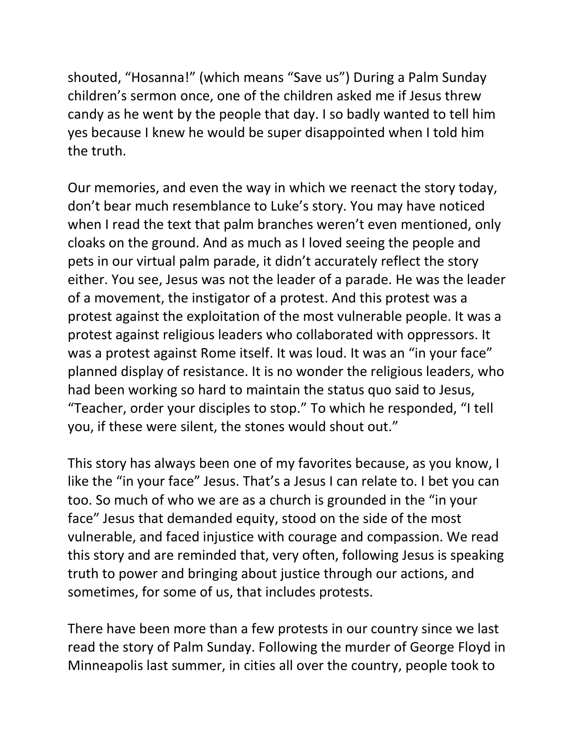shouted, "Hosanna!" (which means "Save us") During a Palm Sunday children's sermon once, one of the children asked me if Jesus threw candy as he went by the people that day. I so badly wanted to tell him yes because I knew he would be super disappointed when I told him the truth.

Our memories, and even the way in which we reenact the story today, don't bear much resemblance to Luke's story. You may have noticed when I read the text that palm branches weren't even mentioned, only cloaks on the ground. And as much as I loved seeing the people and pets in our virtual palm parade, it didn't accurately reflect the story either. You see, Jesus was not the leader of a parade. He was the leader of a movement, the instigator of a protest. And this protest was a protest against the exploitation of the most vulnerable people. It was a protest against religious leaders who collaborated with oppressors. It was a protest against Rome itself. It was loud. It was an "in your face" planned display of resistance. It is no wonder the religious leaders, who had been working so hard to maintain the status quo said to Jesus, "Teacher, order your disciples to stop." To which he responded, "I tell you, if these were silent, the stones would shout out."

This story has always been one of my favorites because, as you know, I like the "in your face" Jesus. That's a Jesus I can relate to. I bet you can too. So much of who we are as a church is grounded in the "in your face" Jesus that demanded equity, stood on the side of the most vulnerable, and faced injustice with courage and compassion. We read this story and are reminded that, very often, following Jesus is speaking truth to power and bringing about justice through our actions, and sometimes, for some of us, that includes protests.

There have been more than a few protests in our country since we last read the story of Palm Sunday. Following the murder of George Floyd in Minneapolis last summer, in cities all over the country, people took to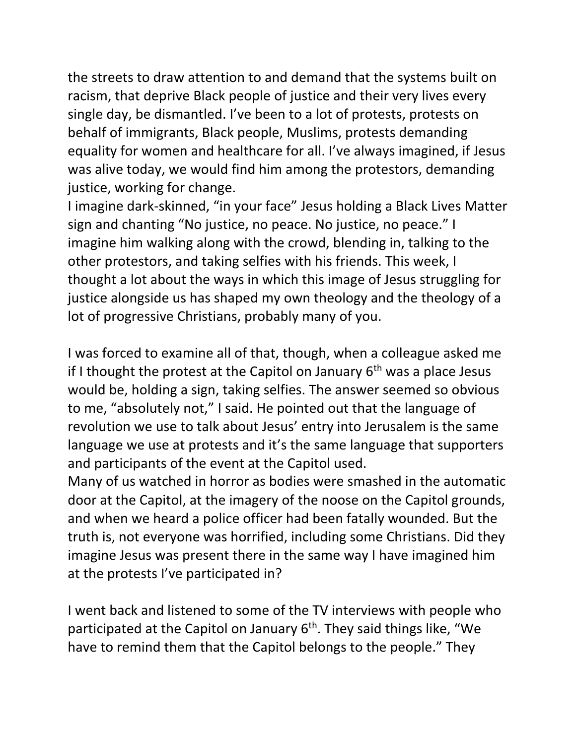the streets to draw attention to and demand that the systems built on racism, that deprive Black people of justice and their very lives every single day, be dismantled. I've been to a lot of protests, protests on behalf of immigrants, Black people, Muslims, protests demanding equality for women and healthcare for all. I've always imagined, if Jesus was alive today, we would find him among the protestors, demanding justice, working for change.

I imagine dark-skinned, "in your face" Jesus holding a Black Lives Matter sign and chanting "No justice, no peace. No justice, no peace." I imagine him walking along with the crowd, blending in, talking to the other protestors, and taking selfies with his friends. This week, I thought a lot about the ways in which this image of Jesus struggling for justice alongside us has shaped my own theology and the theology of a lot of progressive Christians, probably many of you.

I was forced to examine all of that, though, when a colleague asked me if I thought the protest at the Capitol on January  $6<sup>th</sup>$  was a place Jesus would be, holding a sign, taking selfies. The answer seemed so obvious to me, "absolutely not," I said. He pointed out that the language of revolution we use to talk about Jesus' entry into Jerusalem is the same language we use at protests and it's the same language that supporters and participants of the event at the Capitol used.

Many of us watched in horror as bodies were smashed in the automatic door at the Capitol, at the imagery of the noose on the Capitol grounds, and when we heard a police officer had been fatally wounded. But the truth is, not everyone was horrified, including some Christians. Did they imagine Jesus was present there in the same way I have imagined him at the protests I've participated in?

I went back and listened to some of the TV interviews with people who participated at the Capitol on January  $6<sup>th</sup>$ . They said things like, "We have to remind them that the Capitol belongs to the people." They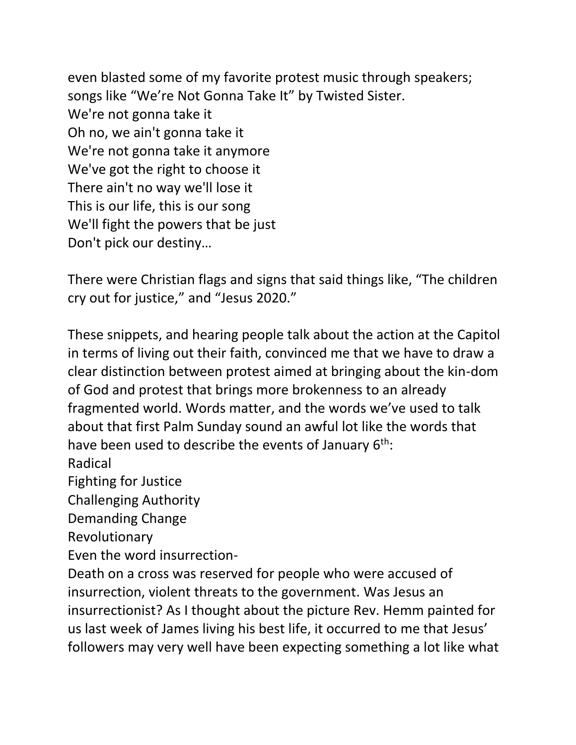even blasted some of my favorite protest music through speakers; songs like "We're Not Gonna Take It" by Twisted Sister. We're not gonna take it Oh no, we ain't gonna take it We're not gonna take it anymore We've got the right to choose it There ain't no way we'll lose it This is our life, this is our song We'll fight the powers that be just Don't pick our destiny…

There were Christian flags and signs that said things like, "The children cry out for justice," and "Jesus 2020."

These snippets, and hearing people talk about the action at the Capitol in terms of living out their faith, convinced me that we have to draw a clear distinction between protest aimed at bringing about the kin-dom of God and protest that brings more brokenness to an already fragmented world. Words matter, and the words we've used to talk about that first Palm Sunday sound an awful lot like the words that have been used to describe the events of January  $6<sup>th</sup>$ :

Radical

Fighting for Justice

Challenging Authority

Demanding Change

Revolutionary

Even the word insurrection-

Death on a cross was reserved for people who were accused of insurrection, violent threats to the government. Was Jesus an insurrectionist? As I thought about the picture Rev. Hemm painted for us last week of James living his best life, it occurred to me that Jesus' followers may very well have been expecting something a lot like what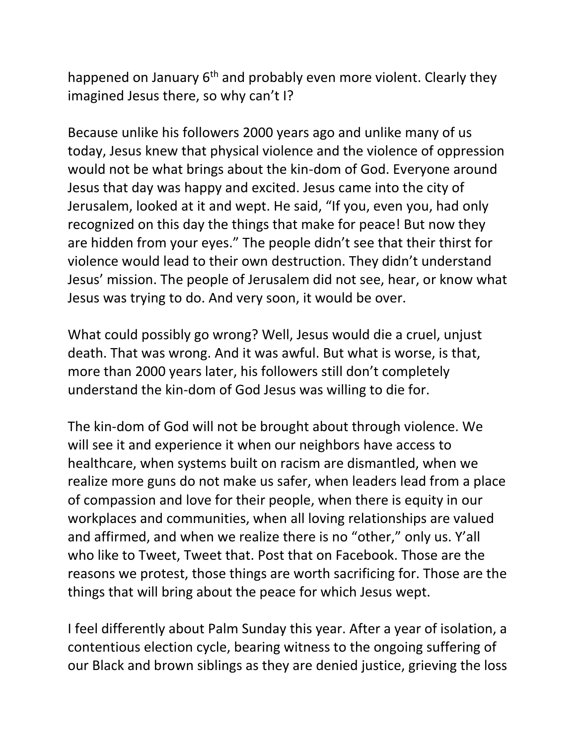happened on January 6<sup>th</sup> and probably even more violent. Clearly they imagined Jesus there, so why can't I?

Because unlike his followers 2000 years ago and unlike many of us today, Jesus knew that physical violence and the violence of oppression would not be what brings about the kin-dom of God. Everyone around Jesus that day was happy and excited. Jesus came into the city of Jerusalem, looked at it and wept. He said, "If you, even you, had only recognized on this day the things that make for peace! But now they are hidden from your eyes." The people didn't see that their thirst for violence would lead to their own destruction. They didn't understand Jesus' mission. The people of Jerusalem did not see, hear, or know what Jesus was trying to do. And very soon, it would be over.

What could possibly go wrong? Well, Jesus would die a cruel, unjust death. That was wrong. And it was awful. But what is worse, is that, more than 2000 years later, his followers still don't completely understand the kin-dom of God Jesus was willing to die for.

The kin-dom of God will not be brought about through violence. We will see it and experience it when our neighbors have access to healthcare, when systems built on racism are dismantled, when we realize more guns do not make us safer, when leaders lead from a place of compassion and love for their people, when there is equity in our workplaces and communities, when all loving relationships are valued and affirmed, and when we realize there is no "other," only us. Y'all who like to Tweet, Tweet that. Post that on Facebook. Those are the reasons we protest, those things are worth sacrificing for. Those are the things that will bring about the peace for which Jesus wept.

I feel differently about Palm Sunday this year. After a year of isolation, a contentious election cycle, bearing witness to the ongoing suffering of our Black and brown siblings as they are denied justice, grieving the loss